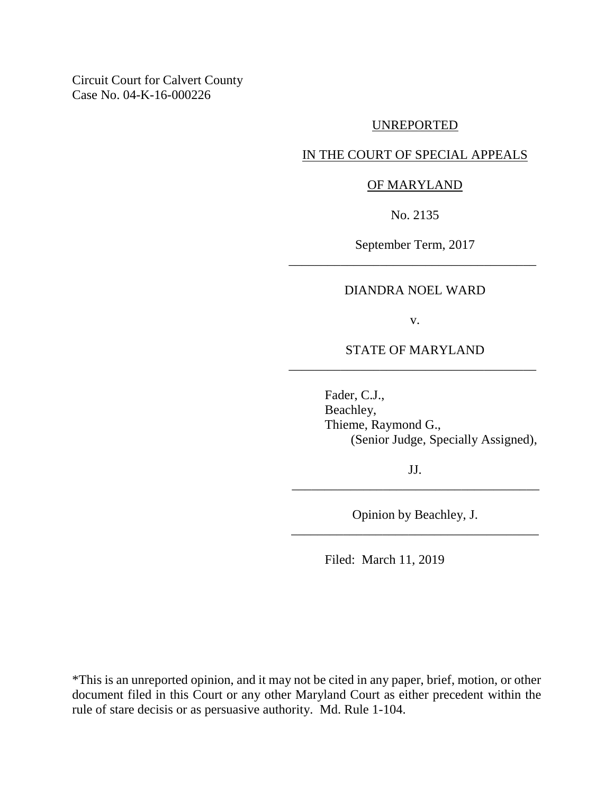Circuit Court for Calvert County Case No. 04-K-16-000226

#### UNREPORTED

### IN THE COURT OF SPECIAL APPEALS

#### OF MARYLAND

No. 2135

September Term, 2017 \_\_\_\_\_\_\_\_\_\_\_\_\_\_\_\_\_\_\_\_\_\_\_\_\_\_\_\_\_\_\_\_\_\_\_\_\_\_

#### DIANDRA NOEL WARD

v.

STATE OF MARYLAND \_\_\_\_\_\_\_\_\_\_\_\_\_\_\_\_\_\_\_\_\_\_\_\_\_\_\_\_\_\_\_\_\_\_\_\_\_\_

> Fader, C.J., Beachley, Thieme, Raymond G., (Senior Judge, Specially Assigned),

JJ. \_\_\_\_\_\_\_\_\_\_\_\_\_\_\_\_\_\_\_\_\_\_\_\_\_\_\_\_\_\_\_\_\_\_\_\_\_\_

Opinion by Beachley, J. \_\_\_\_\_\_\_\_\_\_\_\_\_\_\_\_\_\_\_\_\_\_\_\_\_\_\_\_\_\_\_\_\_\_\_\_\_\_

Filed: March 11, 2019

\*This is an unreported opinion, and it may not be cited in any paper, brief, motion, or other document filed in this Court or any other Maryland Court as either precedent within the rule of stare decisis or as persuasive authority. Md. Rule 1-104.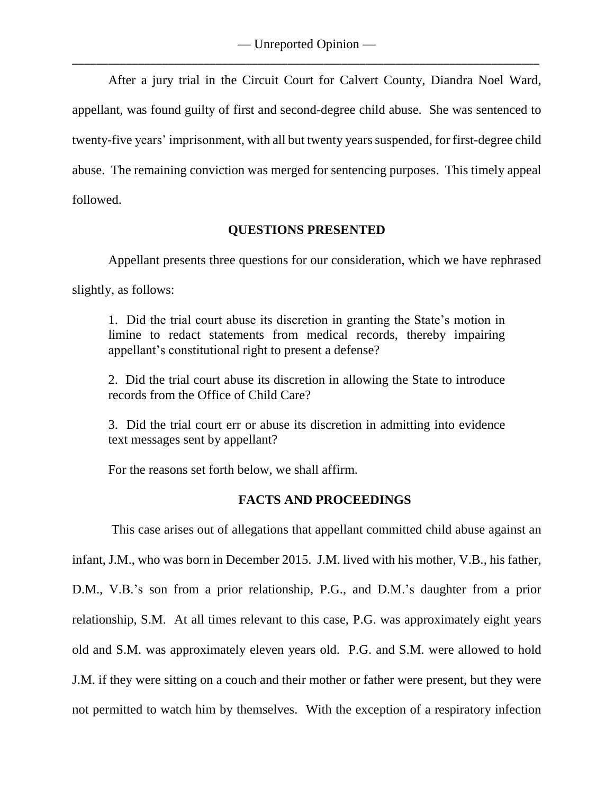After a jury trial in the Circuit Court for Calvert County, Diandra Noel Ward, appellant, was found guilty of first and second-degree child abuse. She was sentenced to twenty-five years' imprisonment, with all but twenty years suspended, for first-degree child abuse. The remaining conviction was merged for sentencing purposes. This timely appeal followed.

## **QUESTIONS PRESENTED**

Appellant presents three questions for our consideration, which we have rephrased slightly, as follows:

1. Did the trial court abuse its discretion in granting the State's motion in limine to redact statements from medical records, thereby impairing appellant's constitutional right to present a defense?

2. Did the trial court abuse its discretion in allowing the State to introduce records from the Office of Child Care?

3. Did the trial court err or abuse its discretion in admitting into evidence text messages sent by appellant?

For the reasons set forth below, we shall affirm.

# **FACTS AND PROCEEDINGS**

This case arises out of allegations that appellant committed child abuse against an infant, J.M., who was born in December 2015. J.M. lived with his mother, V.B., his father, D.M., V.B.'s son from a prior relationship, P.G., and D.M.'s daughter from a prior relationship, S.M. At all times relevant to this case, P.G. was approximately eight years old and S.M. was approximately eleven years old. P.G. and S.M. were allowed to hold J.M. if they were sitting on a couch and their mother or father were present, but they were not permitted to watch him by themselves. With the exception of a respiratory infection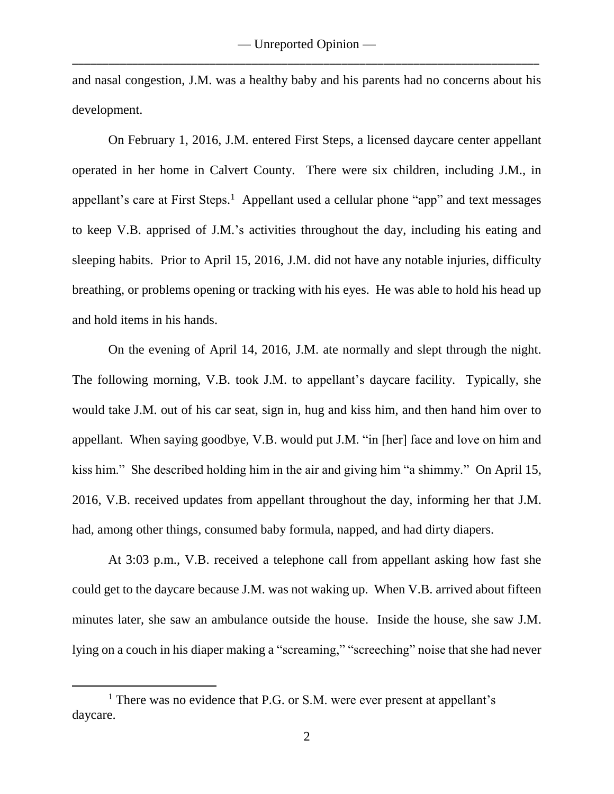and nasal congestion, J.M. was a healthy baby and his parents had no concerns about his development.

On February 1, 2016, J.M. entered First Steps, a licensed daycare center appellant operated in her home in Calvert County. There were six children, including J.M., in appellant's care at First Steps.<sup>1</sup> Appellant used a cellular phone "app" and text messages to keep V.B. apprised of J.M.'s activities throughout the day, including his eating and sleeping habits. Prior to April 15, 2016, J.M. did not have any notable injuries, difficulty breathing, or problems opening or tracking with his eyes. He was able to hold his head up and hold items in his hands.

On the evening of April 14, 2016, J.M. ate normally and slept through the night. The following morning, V.B. took J.M. to appellant's daycare facility. Typically, she would take J.M. out of his car seat, sign in, hug and kiss him, and then hand him over to appellant. When saying goodbye, V.B. would put J.M. "in [her] face and love on him and kiss him." She described holding him in the air and giving him "a shimmy." On April 15, 2016, V.B. received updates from appellant throughout the day, informing her that J.M. had, among other things, consumed baby formula, napped, and had dirty diapers.

At 3:03 p.m., V.B. received a telephone call from appellant asking how fast she could get to the daycare because J.M. was not waking up. When V.B. arrived about fifteen minutes later, she saw an ambulance outside the house. Inside the house, she saw J.M. lying on a couch in his diaper making a "screaming," "screeching" noise that she had never

 $\overline{a}$ 

<sup>&</sup>lt;sup>1</sup> There was no evidence that P.G. or S.M. were ever present at appellant's daycare.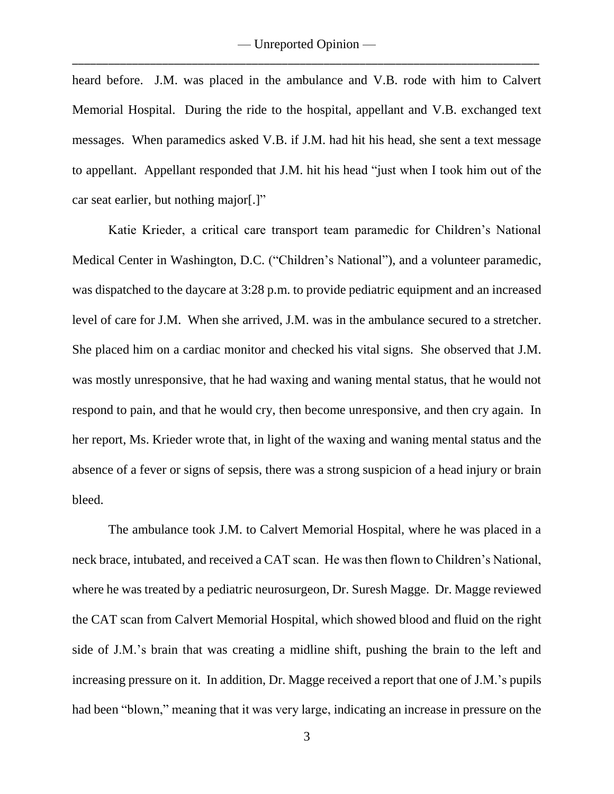heard before. J.M. was placed in the ambulance and V.B. rode with him to Calvert Memorial Hospital. During the ride to the hospital, appellant and V.B. exchanged text messages. When paramedics asked V.B. if J.M. had hit his head, she sent a text message to appellant. Appellant responded that J.M. hit his head "just when I took him out of the car seat earlier, but nothing major[.]"

Katie Krieder, a critical care transport team paramedic for Children's National Medical Center in Washington, D.C. ("Children's National"), and a volunteer paramedic, was dispatched to the daycare at 3:28 p.m. to provide pediatric equipment and an increased level of care for J.M. When she arrived, J.M. was in the ambulance secured to a stretcher. She placed him on a cardiac monitor and checked his vital signs. She observed that J.M. was mostly unresponsive, that he had waxing and waning mental status, that he would not respond to pain, and that he would cry, then become unresponsive, and then cry again. In her report, Ms. Krieder wrote that, in light of the waxing and waning mental status and the absence of a fever or signs of sepsis, there was a strong suspicion of a head injury or brain bleed.

The ambulance took J.M. to Calvert Memorial Hospital, where he was placed in a neck brace, intubated, and received a CAT scan. He was then flown to Children's National, where he was treated by a pediatric neurosurgeon, Dr. Suresh Magge. Dr. Magge reviewed the CAT scan from Calvert Memorial Hospital, which showed blood and fluid on the right side of J.M.'s brain that was creating a midline shift, pushing the brain to the left and increasing pressure on it. In addition, Dr. Magge received a report that one of J.M.'s pupils had been "blown," meaning that it was very large, indicating an increase in pressure on the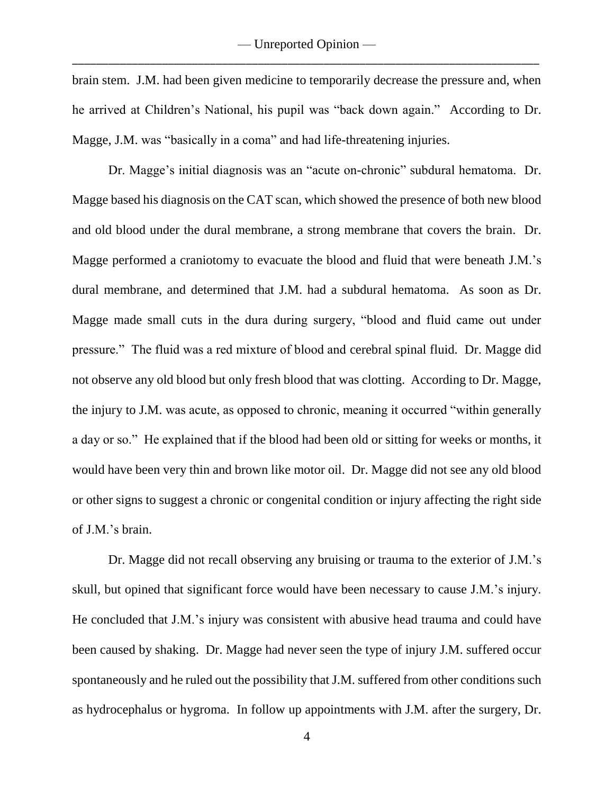brain stem. J.M. had been given medicine to temporarily decrease the pressure and, when he arrived at Children's National, his pupil was "back down again." According to Dr. Magge, J.M. was "basically in a coma" and had life-threatening injuries.

Dr. Magge's initial diagnosis was an "acute on-chronic" subdural hematoma. Dr. Magge based his diagnosis on the CAT scan, which showed the presence of both new blood and old blood under the dural membrane, a strong membrane that covers the brain. Dr. Magge performed a craniotomy to evacuate the blood and fluid that were beneath J.M.'s dural membrane, and determined that J.M. had a subdural hematoma. As soon as Dr. Magge made small cuts in the dura during surgery, "blood and fluid came out under pressure." The fluid was a red mixture of blood and cerebral spinal fluid. Dr. Magge did not observe any old blood but only fresh blood that was clotting. According to Dr. Magge, the injury to J.M. was acute, as opposed to chronic, meaning it occurred "within generally a day or so." He explained that if the blood had been old or sitting for weeks or months, it would have been very thin and brown like motor oil. Dr. Magge did not see any old blood or other signs to suggest a chronic or congenital condition or injury affecting the right side of J.M.'s brain.

Dr. Magge did not recall observing any bruising or trauma to the exterior of J.M.'s skull, but opined that significant force would have been necessary to cause J.M.'s injury. He concluded that J.M.'s injury was consistent with abusive head trauma and could have been caused by shaking. Dr. Magge had never seen the type of injury J.M. suffered occur spontaneously and he ruled out the possibility that J.M. suffered from other conditions such as hydrocephalus or hygroma. In follow up appointments with J.M. after the surgery, Dr.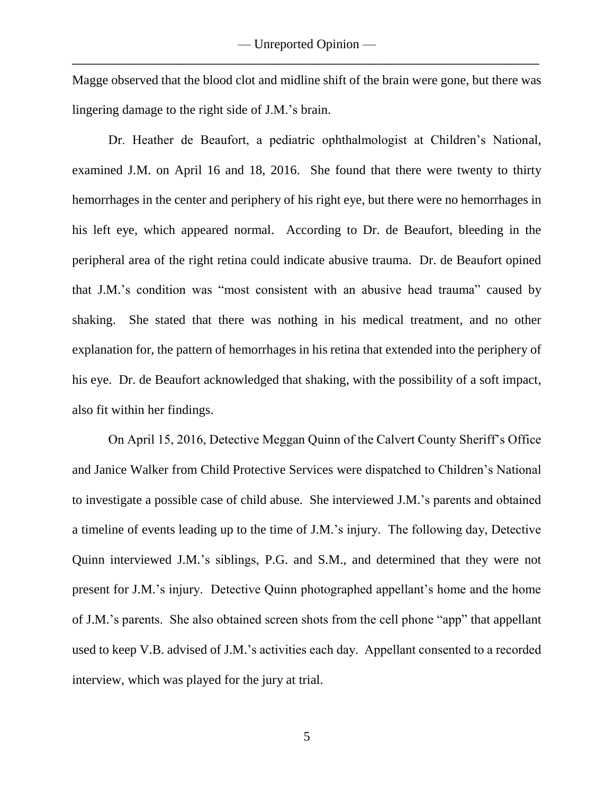Magge observed that the blood clot and midline shift of the brain were gone, but there was lingering damage to the right side of J.M.'s brain.

Dr. Heather de Beaufort, a pediatric ophthalmologist at Children's National, examined J.M. on April 16 and 18, 2016. She found that there were twenty to thirty hemorrhages in the center and periphery of his right eye, but there were no hemorrhages in his left eye, which appeared normal. According to Dr. de Beaufort, bleeding in the peripheral area of the right retina could indicate abusive trauma. Dr. de Beaufort opined that J.M.'s condition was "most consistent with an abusive head trauma" caused by shaking. She stated that there was nothing in his medical treatment, and no other explanation for, the pattern of hemorrhages in his retina that extended into the periphery of his eye. Dr. de Beaufort acknowledged that shaking, with the possibility of a soft impact, also fit within her findings.

On April 15, 2016, Detective Meggan Quinn of the Calvert County Sheriff's Office and Janice Walker from Child Protective Services were dispatched to Children's National to investigate a possible case of child abuse. She interviewed J.M.'s parents and obtained a timeline of events leading up to the time of J.M.'s injury. The following day, Detective Quinn interviewed J.M.'s siblings, P.G. and S.M., and determined that they were not present for J.M.'s injury. Detective Quinn photographed appellant's home and the home of J.M.'s parents. She also obtained screen shots from the cell phone "app" that appellant used to keep V.B. advised of J.M.'s activities each day. Appellant consented to a recorded interview, which was played for the jury at trial.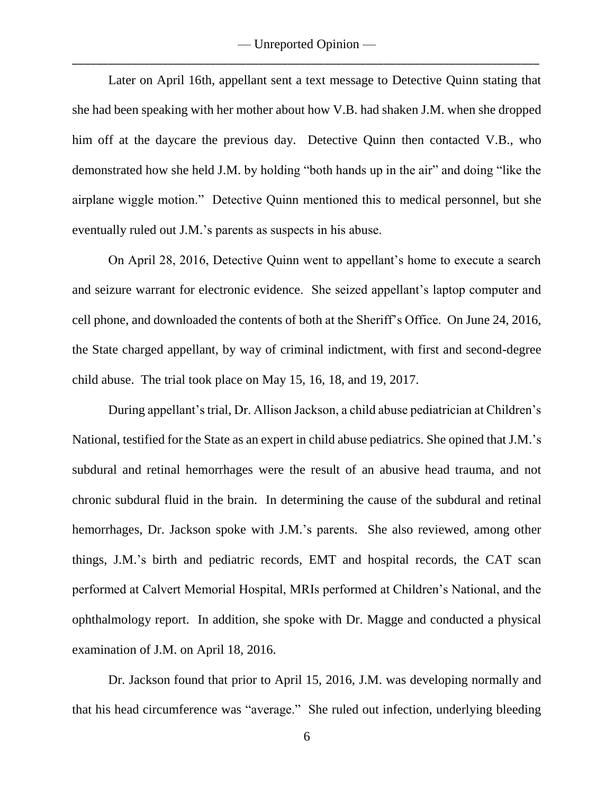Later on April 16th, appellant sent a text message to Detective Quinn stating that she had been speaking with her mother about how V.B. had shaken J.M. when she dropped him off at the daycare the previous day. Detective Quinn then contacted V.B., who demonstrated how she held J.M. by holding "both hands up in the air" and doing "like the airplane wiggle motion." Detective Quinn mentioned this to medical personnel, but she eventually ruled out J.M.'s parents as suspects in his abuse.

On April 28, 2016, Detective Quinn went to appellant's home to execute a search and seizure warrant for electronic evidence. She seized appellant's laptop computer and cell phone, and downloaded the contents of both at the Sheriff's Office. On June 24, 2016, the State charged appellant, by way of criminal indictment, with first and second-degree child abuse. The trial took place on May 15, 16, 18, and 19, 2017.

During appellant's trial, Dr. Allison Jackson, a child abuse pediatrician at Children's National, testified for the State as an expert in child abuse pediatrics. She opined that J.M.'s subdural and retinal hemorrhages were the result of an abusive head trauma, and not chronic subdural fluid in the brain. In determining the cause of the subdural and retinal hemorrhages, Dr. Jackson spoke with J.M.'s parents. She also reviewed, among other things, J.M.'s birth and pediatric records, EMT and hospital records, the CAT scan performed at Calvert Memorial Hospital, MRIs performed at Children's National, and the ophthalmology report. In addition, she spoke with Dr. Magge and conducted a physical examination of J.M. on April 18, 2016.

Dr. Jackson found that prior to April 15, 2016, J.M. was developing normally and that his head circumference was "average." She ruled out infection, underlying bleeding

6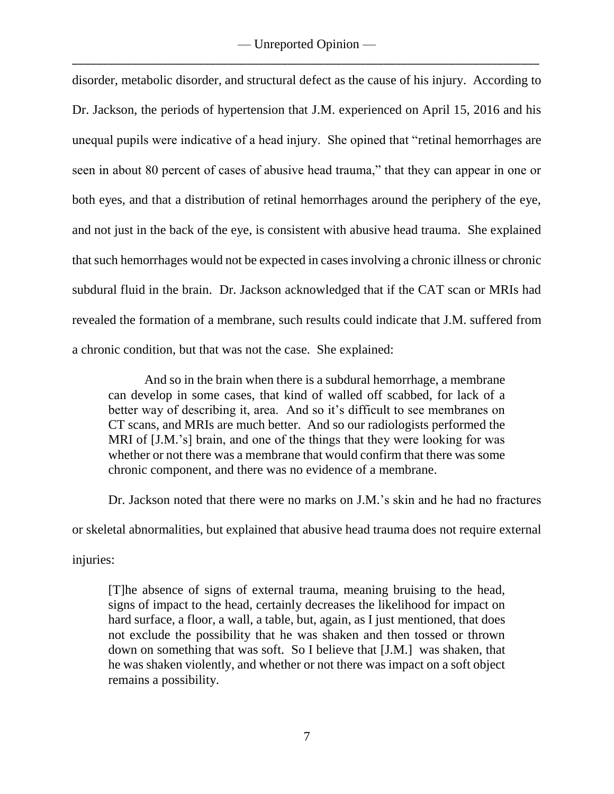disorder, metabolic disorder, and structural defect as the cause of his injury. According to Dr. Jackson, the periods of hypertension that J.M. experienced on April 15, 2016 and his unequal pupils were indicative of a head injury. She opined that "retinal hemorrhages are seen in about 80 percent of cases of abusive head trauma," that they can appear in one or both eyes, and that a distribution of retinal hemorrhages around the periphery of the eye, and not just in the back of the eye, is consistent with abusive head trauma. She explained that such hemorrhages would not be expected in cases involving a chronic illness or chronic subdural fluid in the brain. Dr. Jackson acknowledged that if the CAT scan or MRIs had revealed the formation of a membrane, such results could indicate that J.M. suffered from a chronic condition, but that was not the case. She explained:

And so in the brain when there is a subdural hemorrhage, a membrane can develop in some cases, that kind of walled off scabbed, for lack of a better way of describing it, area. And so it's difficult to see membranes on CT scans, and MRIs are much better. And so our radiologists performed the MRI of [J.M.'s] brain, and one of the things that they were looking for was whether or not there was a membrane that would confirm that there was some chronic component, and there was no evidence of a membrane.

Dr. Jackson noted that there were no marks on J.M.'s skin and he had no fractures or skeletal abnormalities, but explained that abusive head trauma does not require external injuries:

[T]he absence of signs of external trauma, meaning bruising to the head, signs of impact to the head, certainly decreases the likelihood for impact on hard surface, a floor, a wall, a table, but, again, as I just mentioned, that does not exclude the possibility that he was shaken and then tossed or thrown down on something that was soft. So I believe that [J.M.] was shaken, that he was shaken violently, and whether or not there was impact on a soft object remains a possibility.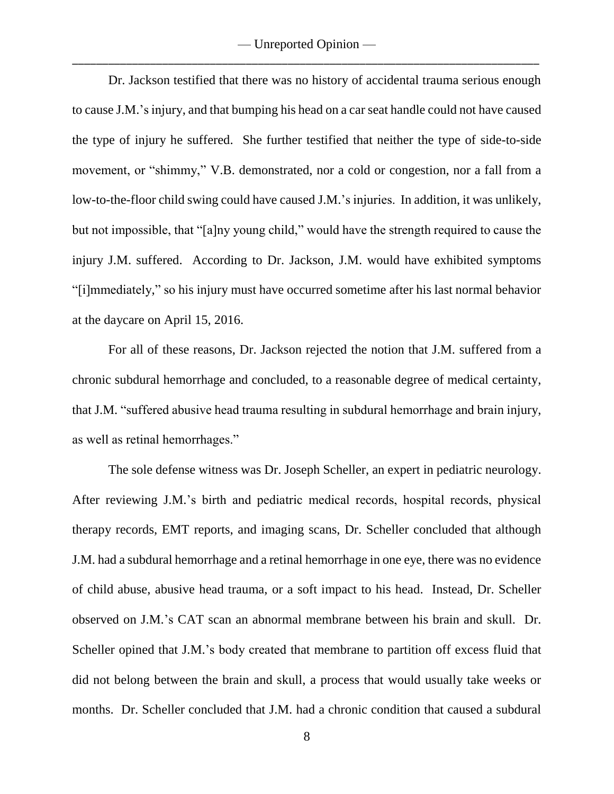— Unreported Opinion — \_\_\_\_\_\_\_\_\_\_\_\_\_\_\_\_\_\_\_\_\_\_\_\_\_\_\_\_\_\_\_\_\_\_\_\_\_\_\_\_\_\_\_\_\_\_\_\_\_\_\_\_\_\_\_\_\_\_\_\_\_\_\_\_\_\_\_\_\_\_\_\_\_\_\_\_\_\_

Dr. Jackson testified that there was no history of accidental trauma serious enough to cause J.M.'s injury, and that bumping his head on a car seat handle could not have caused the type of injury he suffered. She further testified that neither the type of side-to-side movement, or "shimmy," V.B. demonstrated, nor a cold or congestion, nor a fall from a low-to-the-floor child swing could have caused J.M.'s injuries. In addition, it was unlikely, but not impossible, that "[a]ny young child," would have the strength required to cause the injury J.M. suffered. According to Dr. Jackson, J.M. would have exhibited symptoms "[i]mmediately," so his injury must have occurred sometime after his last normal behavior at the daycare on April 15, 2016.

For all of these reasons, Dr. Jackson rejected the notion that J.M. suffered from a chronic subdural hemorrhage and concluded, to a reasonable degree of medical certainty, that J.M. "suffered abusive head trauma resulting in subdural hemorrhage and brain injury, as well as retinal hemorrhages."

The sole defense witness was Dr. Joseph Scheller, an expert in pediatric neurology. After reviewing J.M.'s birth and pediatric medical records, hospital records, physical therapy records, EMT reports, and imaging scans, Dr. Scheller concluded that although J.M. had a subdural hemorrhage and a retinal hemorrhage in one eye, there was no evidence of child abuse, abusive head trauma, or a soft impact to his head. Instead, Dr. Scheller observed on J.M.'s CAT scan an abnormal membrane between his brain and skull. Dr. Scheller opined that J.M.'s body created that membrane to partition off excess fluid that did not belong between the brain and skull, a process that would usually take weeks or months. Dr. Scheller concluded that J.M. had a chronic condition that caused a subdural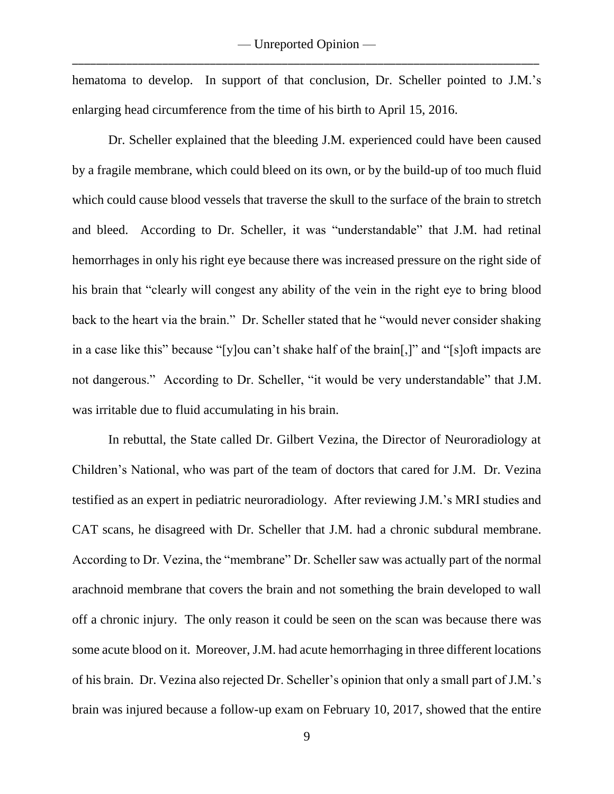hematoma to develop. In support of that conclusion, Dr. Scheller pointed to J.M.'s enlarging head circumference from the time of his birth to April 15, 2016.

Dr. Scheller explained that the bleeding J.M. experienced could have been caused by a fragile membrane, which could bleed on its own, or by the build-up of too much fluid which could cause blood vessels that traverse the skull to the surface of the brain to stretch and bleed. According to Dr. Scheller, it was "understandable" that J.M. had retinal hemorrhages in only his right eye because there was increased pressure on the right side of his brain that "clearly will congest any ability of the vein in the right eye to bring blood back to the heart via the brain." Dr. Scheller stated that he "would never consider shaking in a case like this" because "[y]ou can't shake half of the brain[,]" and "[s]oft impacts are not dangerous." According to Dr. Scheller, "it would be very understandable" that J.M. was irritable due to fluid accumulating in his brain.

In rebuttal, the State called Dr. Gilbert Vezina, the Director of Neuroradiology at Children's National, who was part of the team of doctors that cared for J.M. Dr. Vezina testified as an expert in pediatric neuroradiology. After reviewing J.M.'s MRI studies and CAT scans, he disagreed with Dr. Scheller that J.M. had a chronic subdural membrane. According to Dr. Vezina, the "membrane" Dr. Scheller saw was actually part of the normal arachnoid membrane that covers the brain and not something the brain developed to wall off a chronic injury. The only reason it could be seen on the scan was because there was some acute blood on it. Moreover, J.M. had acute hemorrhaging in three different locations of his brain. Dr. Vezina also rejected Dr. Scheller's opinion that only a small part of J.M.'s brain was injured because a follow-up exam on February 10, 2017, showed that the entire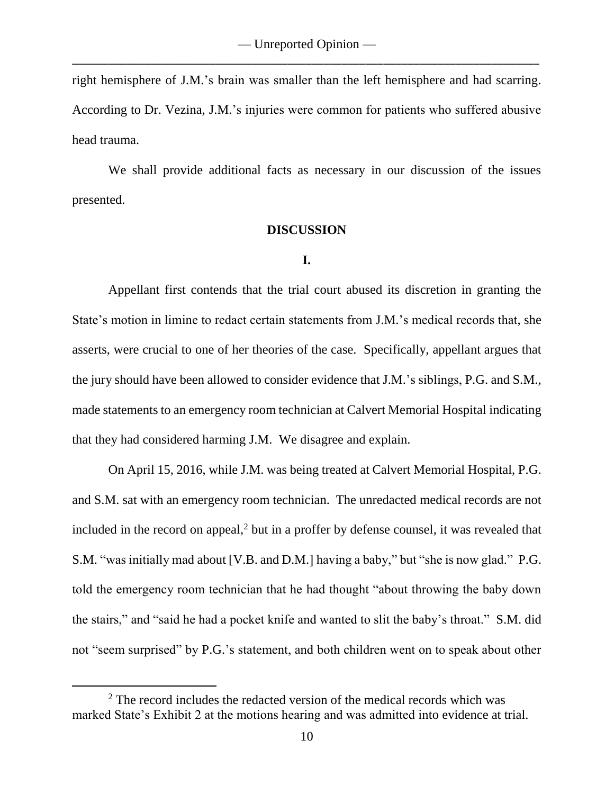right hemisphere of J.M.'s brain was smaller than the left hemisphere and had scarring. According to Dr. Vezina, J.M.'s injuries were common for patients who suffered abusive head trauma.

We shall provide additional facts as necessary in our discussion of the issues presented.

#### **DISCUSSION**

#### **I.**

Appellant first contends that the trial court abused its discretion in granting the State's motion in limine to redact certain statements from J.M.'s medical records that, she asserts, were crucial to one of her theories of the case. Specifically, appellant argues that the jury should have been allowed to consider evidence that J.M.'s siblings, P.G. and S.M., made statements to an emergency room technician at Calvert Memorial Hospital indicating that they had considered harming J.M. We disagree and explain.

On April 15, 2016, while J.M. was being treated at Calvert Memorial Hospital, P.G. and S.M. sat with an emergency room technician. The unredacted medical records are not included in the record on appeal, <sup>2</sup> but in a proffer by defense counsel, it was revealed that S.M. "was initially mad about [V.B. and D.M.] having a baby," but "she is now glad." P.G. told the emergency room technician that he had thought "about throwing the baby down the stairs," and "said he had a pocket knife and wanted to slit the baby's throat." S.M. did not "seem surprised" by P.G.'s statement, and both children went on to speak about other

 $\overline{a}$ 

<sup>&</sup>lt;sup>2</sup> The record includes the redacted version of the medical records which was marked State's Exhibit 2 at the motions hearing and was admitted into evidence at trial.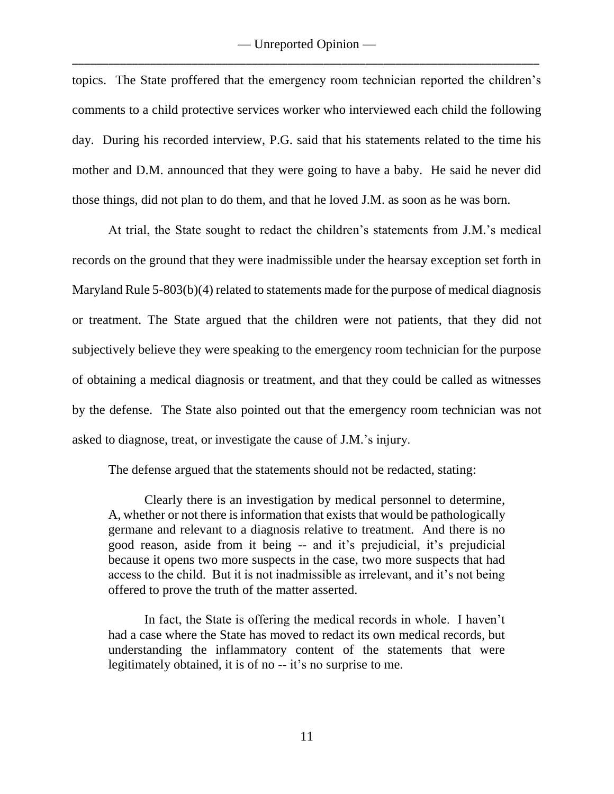topics. The State proffered that the emergency room technician reported the children's comments to a child protective services worker who interviewed each child the following day. During his recorded interview, P.G. said that his statements related to the time his mother and D.M. announced that they were going to have a baby. He said he never did those things, did not plan to do them, and that he loved J.M. as soon as he was born.

At trial, the State sought to redact the children's statements from J.M.'s medical records on the ground that they were inadmissible under the hearsay exception set forth in Maryland Rule 5-803(b)(4) related to statements made for the purpose of medical diagnosis or treatment. The State argued that the children were not patients, that they did not subjectively believe they were speaking to the emergency room technician for the purpose of obtaining a medical diagnosis or treatment, and that they could be called as witnesses by the defense. The State also pointed out that the emergency room technician was not asked to diagnose, treat, or investigate the cause of J.M.'s injury.

The defense argued that the statements should not be redacted, stating:

Clearly there is an investigation by medical personnel to determine, A, whether or not there is information that exists that would be pathologically germane and relevant to a diagnosis relative to treatment. And there is no good reason, aside from it being -- and it's prejudicial, it's prejudicial because it opens two more suspects in the case, two more suspects that had access to the child. But it is not inadmissible as irrelevant, and it's not being offered to prove the truth of the matter asserted.

In fact, the State is offering the medical records in whole. I haven't had a case where the State has moved to redact its own medical records, but understanding the inflammatory content of the statements that were legitimately obtained, it is of no -- it's no surprise to me.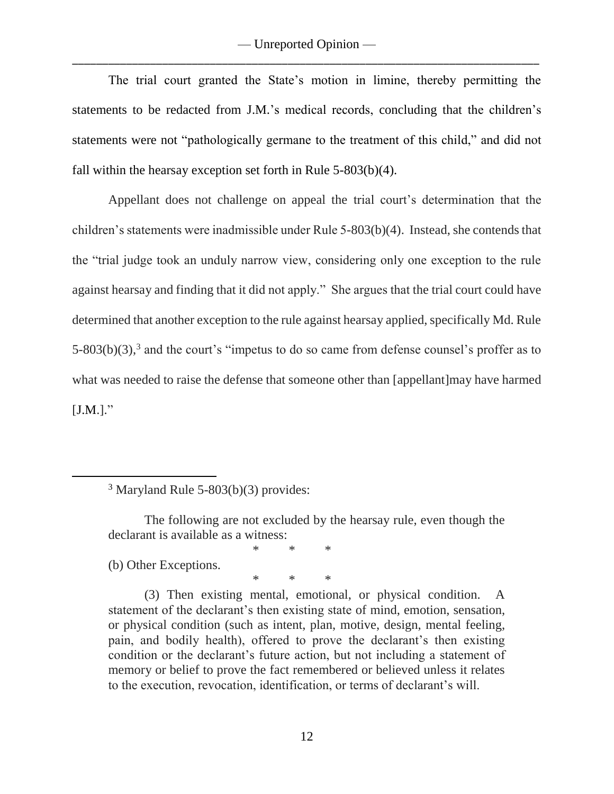The trial court granted the State's motion in limine, thereby permitting the statements to be redacted from J.M.'s medical records, concluding that the children's statements were not "pathologically germane to the treatment of this child," and did not fall within the hearsay exception set forth in Rule 5-803(b)(4).

Appellant does not challenge on appeal the trial court's determination that the children's statements were inadmissible under Rule 5-803(b)(4). Instead, she contends that the "trial judge took an unduly narrow view, considering only one exception to the rule against hearsay and finding that it did not apply." She argues that the trial court could have determined that another exception to the rule against hearsay applied, specifically Md. Rule  $5-803(b)(3)$ ,<sup>3</sup> and the court's "impetus to do so came from defense counsel's proffer as to what was needed to raise the defense that someone other than [appellant]may have harmed  $[J.M.]."$ 

(b) Other Exceptions.

 $\overline{a}$ 

\* \* \*

\* \* \*

(3) Then existing mental, emotional, or physical condition. A statement of the declarant's then existing state of mind, emotion, sensation, or physical condition (such as intent, plan, motive, design, mental feeling, pain, and bodily health), offered to prove the declarant's then existing condition or the declarant's future action, but not including a statement of memory or belief to prove the fact remembered or believed unless it relates to the execution, revocation, identification, or terms of declarant's will.

<sup>3</sup> Maryland Rule 5-803(b)(3) provides:

The following are not excluded by the hearsay rule, even though the declarant is available as a witness: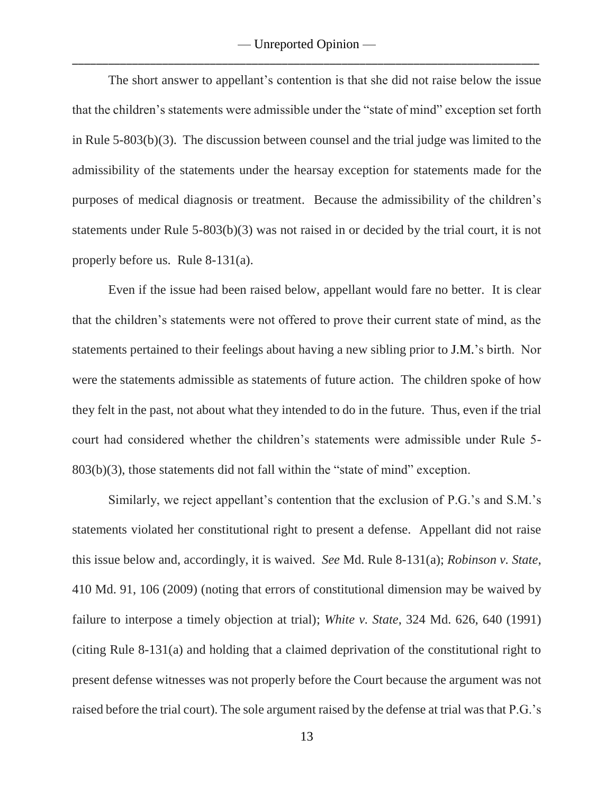The short answer to appellant's contention is that she did not raise below the issue that the children's statements were admissible under the "state of mind" exception set forth in Rule 5-803(b)(3). The discussion between counsel and the trial judge was limited to the admissibility of the statements under the hearsay exception for statements made for the purposes of medical diagnosis or treatment. Because the admissibility of the children's statements under Rule 5-803(b)(3) was not raised in or decided by the trial court, it is not properly before us. Rule 8-131(a).

Even if the issue had been raised below, appellant would fare no better. It is clear that the children's statements were not offered to prove their current state of mind, as the statements pertained to their feelings about having a new sibling prior to J.M.'s birth. Nor were the statements admissible as statements of future action. The children spoke of how they felt in the past, not about what they intended to do in the future. Thus, even if the trial court had considered whether the children's statements were admissible under Rule 5- 803(b)(3), those statements did not fall within the "state of mind" exception.

Similarly, we reject appellant's contention that the exclusion of P.G.'s and S.M.'s statements violated her constitutional right to present a defense. Appellant did not raise this issue below and, accordingly, it is waived. *See* Md. Rule 8-131(a); *Robinson v. State*, 410 Md. 91, 106 (2009) (noting that errors of constitutional dimension may be waived by failure to interpose a timely objection at trial); *White v. State*, 324 Md. 626, 640 (1991) (citing Rule 8-131(a) and holding that a claimed deprivation of the constitutional right to present defense witnesses was not properly before the Court because the argument was not raised before the trial court). The sole argument raised by the defense at trial was that P.G.'s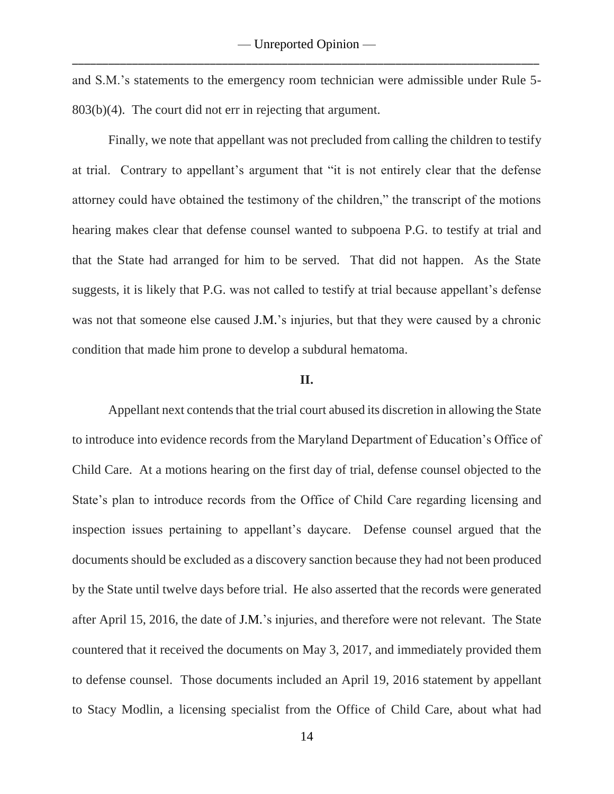and S.M.'s statements to the emergency room technician were admissible under Rule 5- 803(b)(4). The court did not err in rejecting that argument.

Finally, we note that appellant was not precluded from calling the children to testify at trial. Contrary to appellant's argument that "it is not entirely clear that the defense attorney could have obtained the testimony of the children," the transcript of the motions hearing makes clear that defense counsel wanted to subpoena P.G. to testify at trial and that the State had arranged for him to be served. That did not happen. As the State suggests, it is likely that P.G. was not called to testify at trial because appellant's defense was not that someone else caused J.M.'s injuries, but that they were caused by a chronic condition that made him prone to develop a subdural hematoma.

#### **II.**

Appellant next contends that the trial court abused its discretion in allowing the State to introduce into evidence records from the Maryland Department of Education's Office of Child Care. At a motions hearing on the first day of trial, defense counsel objected to the State's plan to introduce records from the Office of Child Care regarding licensing and inspection issues pertaining to appellant's daycare. Defense counsel argued that the documents should be excluded as a discovery sanction because they had not been produced by the State until twelve days before trial. He also asserted that the records were generated after April 15, 2016, the date of J.M.'s injuries, and therefore were not relevant. The State countered that it received the documents on May 3, 2017, and immediately provided them to defense counsel. Those documents included an April 19, 2016 statement by appellant to Stacy Modlin, a licensing specialist from the Office of Child Care, about what had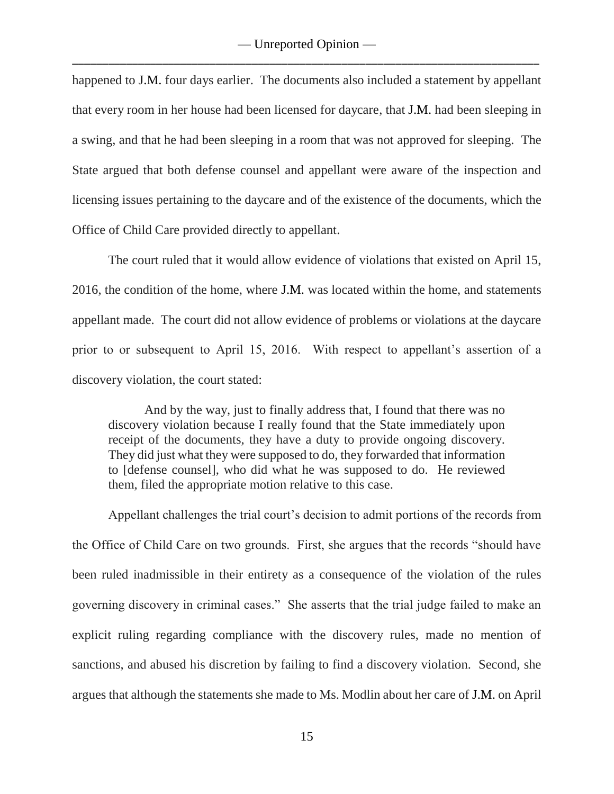happened to J.M. four days earlier. The documents also included a statement by appellant that every room in her house had been licensed for daycare, that J.M. had been sleeping in a swing, and that he had been sleeping in a room that was not approved for sleeping. The State argued that both defense counsel and appellant were aware of the inspection and licensing issues pertaining to the daycare and of the existence of the documents, which the Office of Child Care provided directly to appellant.

The court ruled that it would allow evidence of violations that existed on April 15, 2016, the condition of the home, where J.M. was located within the home, and statements appellant made. The court did not allow evidence of problems or violations at the daycare prior to or subsequent to April 15, 2016. With respect to appellant's assertion of a discovery violation, the court stated:

And by the way, just to finally address that, I found that there was no discovery violation because I really found that the State immediately upon receipt of the documents, they have a duty to provide ongoing discovery. They did just what they were supposed to do, they forwarded that information to [defense counsel], who did what he was supposed to do. He reviewed them, filed the appropriate motion relative to this case.

Appellant challenges the trial court's decision to admit portions of the records from the Office of Child Care on two grounds. First, she argues that the records "should have been ruled inadmissible in their entirety as a consequence of the violation of the rules governing discovery in criminal cases." She asserts that the trial judge failed to make an explicit ruling regarding compliance with the discovery rules, made no mention of sanctions, and abused his discretion by failing to find a discovery violation. Second, she argues that although the statements she made to Ms. Modlin about her care of J.M. on April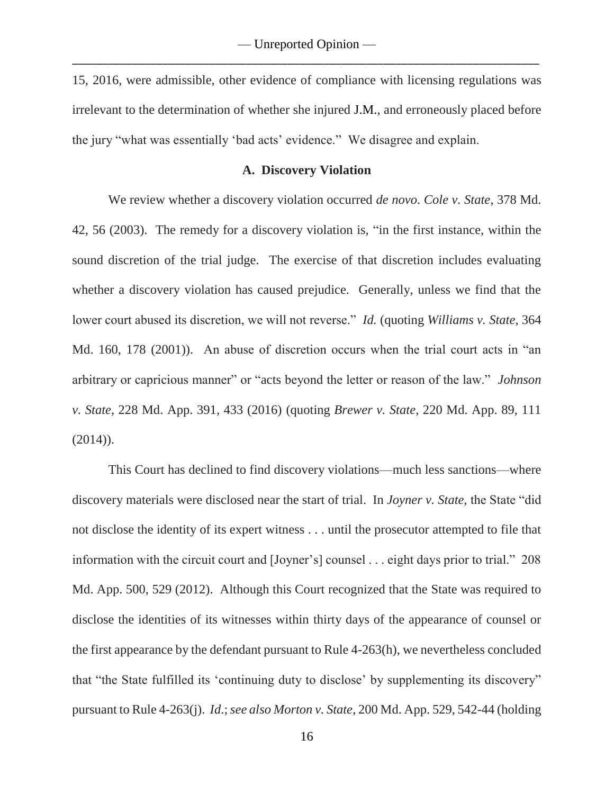15, 2016, were admissible, other evidence of compliance with licensing regulations was irrelevant to the determination of whether she injured J.M., and erroneously placed before the jury "what was essentially 'bad acts' evidence." We disagree and explain.

#### **A. Discovery Violation**

We review whether a discovery violation occurred *de novo*. *Cole v. State*, 378 Md. 42, 56 (2003). The remedy for a discovery violation is, "in the first instance, within the sound discretion of the trial judge. The exercise of that discretion includes evaluating whether a discovery violation has caused prejudice. Generally, unless we find that the lower court abused its discretion, we will not reverse." *Id.* (quoting *Williams v. State*, 364 Md. 160, 178 (2001)). An abuse of discretion occurs when the trial court acts in "an arbitrary or capricious manner" or "acts beyond the letter or reason of the law." *Johnson v. State*, 228 Md. App. 391, 433 (2016) (quoting *Brewer v. State*, 220 Md. App. 89, 111  $(2014)$ .

This Court has declined to find discovery violations—much less sanctions—where discovery materials were disclosed near the start of trial. In *Joyner v. State*, the State "did not disclose the identity of its expert witness . . . until the prosecutor attempted to file that information with the circuit court and [Joyner's] counsel . . . eight days prior to trial." 208 Md. App. 500, 529 (2012). Although this Court recognized that the State was required to disclose the identities of its witnesses within thirty days of the appearance of counsel or the first appearance by the defendant pursuant to Rule 4-263(h), we nevertheless concluded that "the State fulfilled its 'continuing duty to disclose' by supplementing its discovery" pursuant to Rule 4-263(j). *Id*.; *see also Morton v. State*, 200 Md. App. 529, 542-44 (holding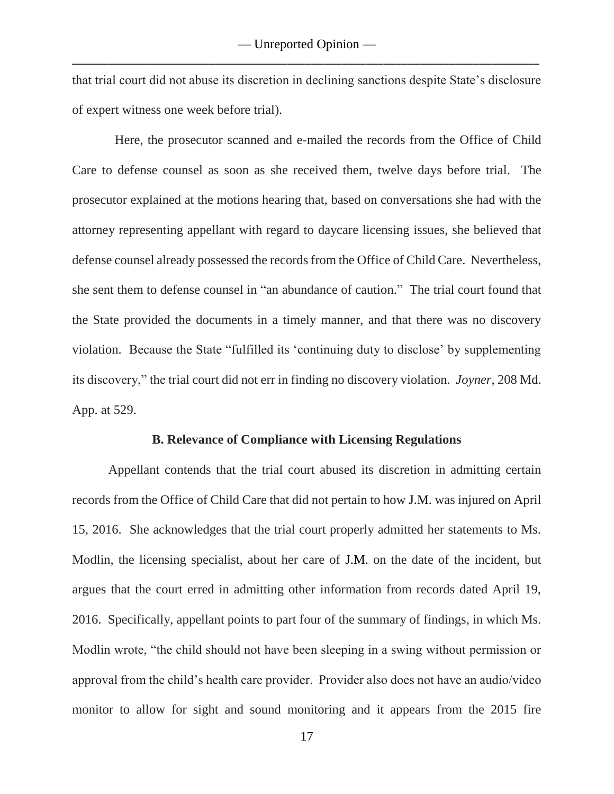that trial court did not abuse its discretion in declining sanctions despite State's disclosure of expert witness one week before trial).

 Here, the prosecutor scanned and e-mailed the records from the Office of Child Care to defense counsel as soon as she received them, twelve days before trial. The prosecutor explained at the motions hearing that, based on conversations she had with the attorney representing appellant with regard to daycare licensing issues, she believed that defense counsel already possessed the records from the Office of Child Care. Nevertheless, she sent them to defense counsel in "an abundance of caution." The trial court found that the State provided the documents in a timely manner, and that there was no discovery violation. Because the State "fulfilled its 'continuing duty to disclose' by supplementing its discovery," the trial court did not err in finding no discovery violation. *Joyner*, 208 Md. App. at 529.

#### **B. Relevance of Compliance with Licensing Regulations**

Appellant contends that the trial court abused its discretion in admitting certain records from the Office of Child Care that did not pertain to how J.M. was injured on April 15, 2016. She acknowledges that the trial court properly admitted her statements to Ms. Modlin, the licensing specialist, about her care of J.M. on the date of the incident, but argues that the court erred in admitting other information from records dated April 19, 2016. Specifically, appellant points to part four of the summary of findings, in which Ms. Modlin wrote, "the child should not have been sleeping in a swing without permission or approval from the child's health care provider. Provider also does not have an audio/video monitor to allow for sight and sound monitoring and it appears from the 2015 fire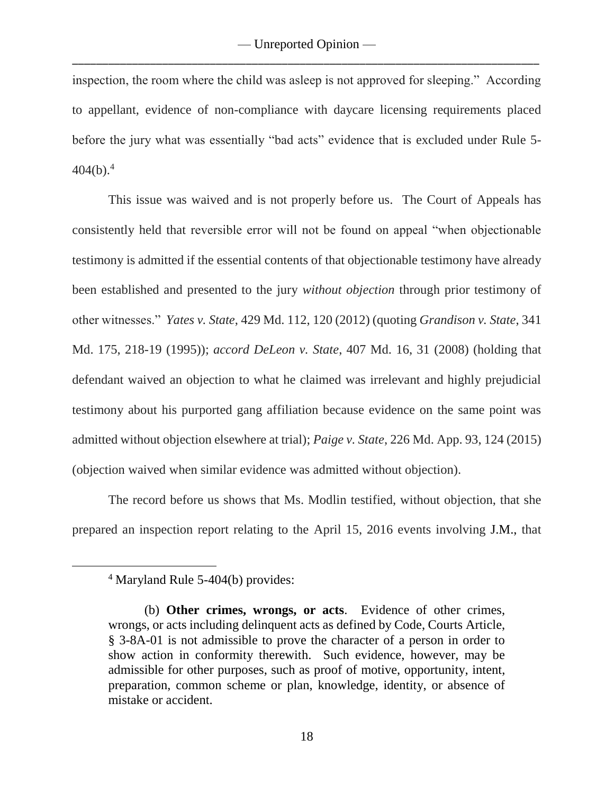inspection, the room where the child was asleep is not approved for sleeping." According to appellant, evidence of non-compliance with daycare licensing requirements placed before the jury what was essentially "bad acts" evidence that is excluded under Rule 5-  $404(b).<sup>4</sup>$ 

This issue was waived and is not properly before us. The Court of Appeals has consistently held that reversible error will not be found on appeal "when objectionable testimony is admitted if the essential contents of that objectionable testimony have already been established and presented to the jury *without objection* through prior testimony of other witnesses." *Yates v. State*, 429 Md. 112, 120 (2012) (quoting *Grandison v. State*, 341 Md. 175, 218-19 (1995)); *accord DeLeon v. State*, 407 Md. 16, 31 (2008) (holding that defendant waived an objection to what he claimed was irrelevant and highly prejudicial testimony about his purported gang affiliation because evidence on the same point was admitted without objection elsewhere at trial); *Paige v. State*, 226 Md. App. 93, 124 (2015) (objection waived when similar evidence was admitted without objection).

The record before us shows that Ms. Modlin testified, without objection, that she prepared an inspection report relating to the April 15, 2016 events involving J.M., that

 $\overline{a}$ 

<sup>4</sup> Maryland Rule 5-404(b) provides:

<sup>(</sup>b) **Other crimes, wrongs, or acts**. Evidence of other crimes, wrongs, or acts including delinquent acts as defined by Code, Courts Article, § 3-8A-01 is not admissible to prove the character of a person in order to show action in conformity therewith. Such evidence, however, may be admissible for other purposes, such as proof of motive, opportunity, intent, preparation, common scheme or plan, knowledge, identity, or absence of mistake or accident.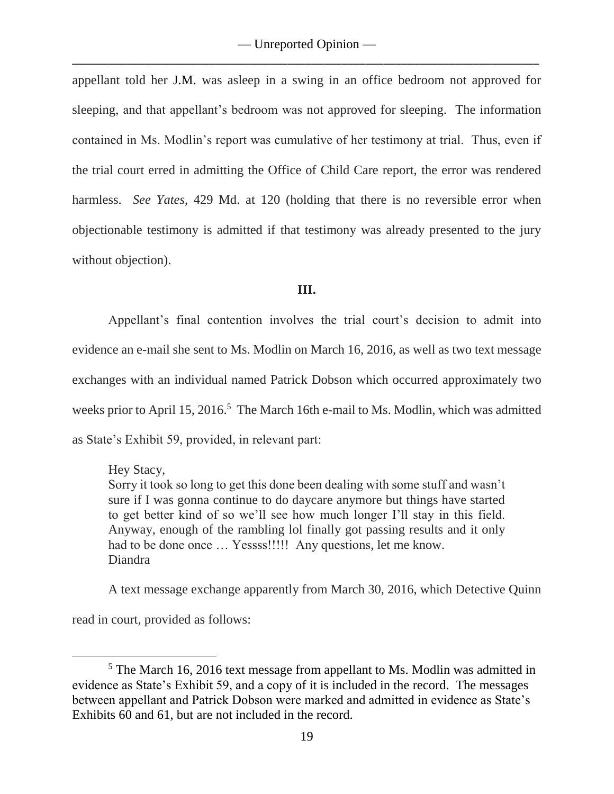appellant told her J.M. was asleep in a swing in an office bedroom not approved for sleeping, and that appellant's bedroom was not approved for sleeping. The information contained in Ms. Modlin's report was cumulative of her testimony at trial. Thus, even if the trial court erred in admitting the Office of Child Care report, the error was rendered harmless. *See Yates*, 429 Md. at 120 (holding that there is no reversible error when objectionable testimony is admitted if that testimony was already presented to the jury without objection).

### **III.**

Appellant's final contention involves the trial court's decision to admit into evidence an e-mail she sent to Ms. Modlin on March 16, 2016, as well as two text message exchanges with an individual named Patrick Dobson which occurred approximately two weeks prior to April 15, 2016.<sup>5</sup> The March 16th e-mail to Ms. Modlin, which was admitted as State's Exhibit 59, provided, in relevant part:

## Hey Stacy,

Sorry it took so long to get this done been dealing with some stuff and wasn't sure if I was gonna continue to do daycare anymore but things have started to get better kind of so we'll see how much longer I'll stay in this field. Anyway, enough of the rambling lol finally got passing results and it only had to be done once ... Yessss!!!!! Any questions, let me know. Diandra

A text message exchange apparently from March 30, 2016, which Detective Quinn

read in court, provided as follows:

 $\overline{a}$ 

<sup>&</sup>lt;sup>5</sup> The March 16, 2016 text message from appellant to Ms. Modlin was admitted in evidence as State's Exhibit 59, and a copy of it is included in the record. The messages between appellant and Patrick Dobson were marked and admitted in evidence as State's Exhibits 60 and 61, but are not included in the record.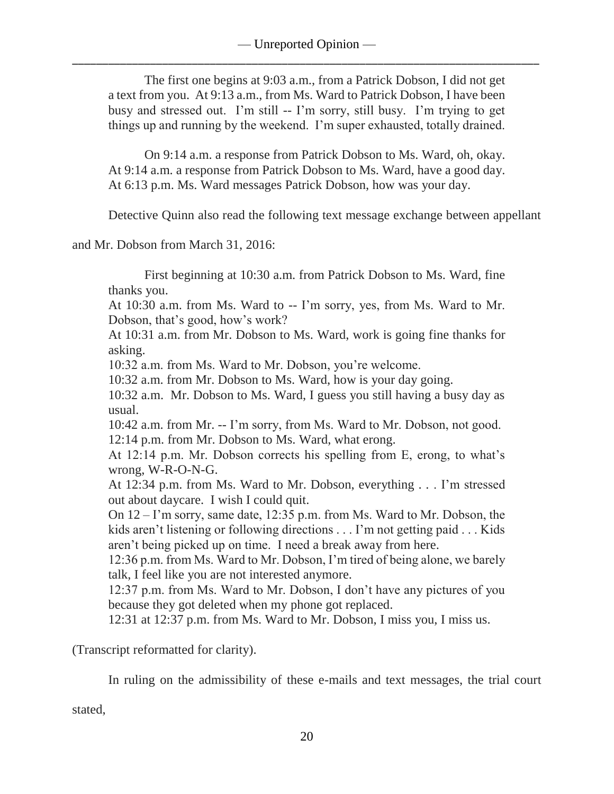The first one begins at 9:03 a.m., from a Patrick Dobson, I did not get a text from you. At 9:13 a.m., from Ms. Ward to Patrick Dobson, I have been busy and stressed out. I'm still -- I'm sorry, still busy. I'm trying to get things up and running by the weekend. I'm super exhausted, totally drained.

On 9:14 a.m. a response from Patrick Dobson to Ms. Ward, oh, okay. At 9:14 a.m. a response from Patrick Dobson to Ms. Ward, have a good day. At 6:13 p.m. Ms. Ward messages Patrick Dobson, how was your day.

Detective Quinn also read the following text message exchange between appellant

and Mr. Dobson from March 31, 2016:

First beginning at 10:30 a.m. from Patrick Dobson to Ms. Ward, fine thanks you.

At 10:30 a.m. from Ms. Ward to -- I'm sorry, yes, from Ms. Ward to Mr. Dobson, that's good, how's work?

At 10:31 a.m. from Mr. Dobson to Ms. Ward, work is going fine thanks for asking.

10:32 a.m. from Ms. Ward to Mr. Dobson, you're welcome.

10:32 a.m. from Mr. Dobson to Ms. Ward, how is your day going.

10:32 a.m. Mr. Dobson to Ms. Ward, I guess you still having a busy day as usual.

10:42 a.m. from Mr. -- I'm sorry, from Ms. Ward to Mr. Dobson, not good. 12:14 p.m. from Mr. Dobson to Ms. Ward, what erong.

At 12:14 p.m. Mr. Dobson corrects his spelling from E, erong, to what's wrong, W-R-O-N-G.

At 12:34 p.m. from Ms. Ward to Mr. Dobson, everything . . . I'm stressed out about daycare. I wish I could quit.

On 12 – I'm sorry, same date, 12:35 p.m. from Ms. Ward to Mr. Dobson, the kids aren't listening or following directions . . . I'm not getting paid . . . Kids aren't being picked up on time. I need a break away from here.

12:36 p.m. from Ms. Ward to Mr. Dobson, I'm tired of being alone, we barely talk, I feel like you are not interested anymore.

12:37 p.m. from Ms. Ward to Mr. Dobson, I don't have any pictures of you because they got deleted when my phone got replaced.

12:31 at 12:37 p.m. from Ms. Ward to Mr. Dobson, I miss you, I miss us.

(Transcript reformatted for clarity).

In ruling on the admissibility of these e-mails and text messages, the trial court

stated,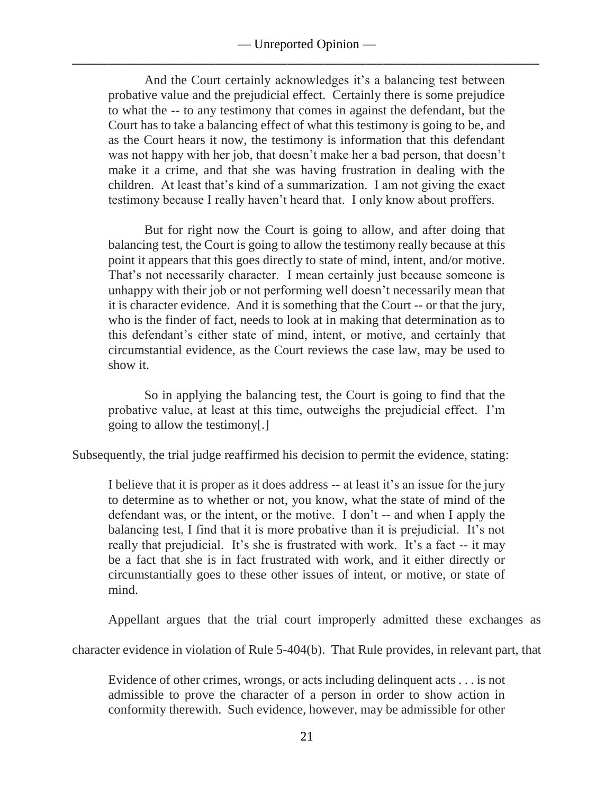And the Court certainly acknowledges it's a balancing test between probative value and the prejudicial effect. Certainly there is some prejudice to what the -- to any testimony that comes in against the defendant, but the Court has to take a balancing effect of what this testimony is going to be, and as the Court hears it now, the testimony is information that this defendant was not happy with her job, that doesn't make her a bad person, that doesn't make it a crime, and that she was having frustration in dealing with the children. At least that's kind of a summarization. I am not giving the exact testimony because I really haven't heard that. I only know about proffers.

But for right now the Court is going to allow, and after doing that balancing test, the Court is going to allow the testimony really because at this point it appears that this goes directly to state of mind, intent, and/or motive. That's not necessarily character. I mean certainly just because someone is unhappy with their job or not performing well doesn't necessarily mean that it is character evidence. And it is something that the Court -- or that the jury, who is the finder of fact, needs to look at in making that determination as to this defendant's either state of mind, intent, or motive, and certainly that circumstantial evidence, as the Court reviews the case law, may be used to show it.

So in applying the balancing test, the Court is going to find that the probative value, at least at this time, outweighs the prejudicial effect. I'm going to allow the testimony[.]

Subsequently, the trial judge reaffirmed his decision to permit the evidence, stating:

I believe that it is proper as it does address -- at least it's an issue for the jury to determine as to whether or not, you know, what the state of mind of the defendant was, or the intent, or the motive. I don't -- and when I apply the balancing test, I find that it is more probative than it is prejudicial. It's not really that prejudicial. It's she is frustrated with work. It's a fact -- it may be a fact that she is in fact frustrated with work, and it either directly or circumstantially goes to these other issues of intent, or motive, or state of mind.

Appellant argues that the trial court improperly admitted these exchanges as

character evidence in violation of Rule 5-404(b). That Rule provides, in relevant part, that

Evidence of other crimes, wrongs, or acts including delinquent acts . . . is not admissible to prove the character of a person in order to show action in conformity therewith. Such evidence, however, may be admissible for other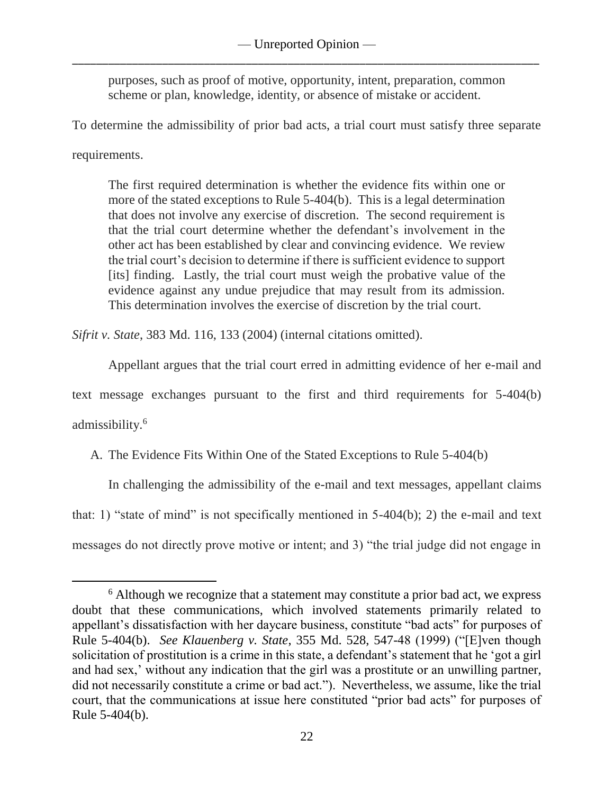purposes, such as proof of motive, opportunity, intent, preparation, common scheme or plan, knowledge, identity, or absence of mistake or accident.

To determine the admissibility of prior bad acts, a trial court must satisfy three separate

requirements.

The first required determination is whether the evidence fits within one or more of the stated exceptions to Rule 5-404(b). This is a legal determination that does not involve any exercise of discretion. The second requirement is that the trial court determine whether the defendant's involvement in the other act has been established by clear and convincing evidence. We review the trial court's decision to determine if there is sufficient evidence to support [its] finding. Lastly, the trial court must weigh the probative value of the evidence against any undue prejudice that may result from its admission. This determination involves the exercise of discretion by the trial court.

*Sifrit v. State*, 383 Md. 116, 133 (2004) (internal citations omitted).

Appellant argues that the trial court erred in admitting evidence of her e-mail and text message exchanges pursuant to the first and third requirements for 5-404(b)

admissibility. 6

 $\overline{a}$ 

A. The Evidence Fits Within One of the Stated Exceptions to Rule 5-404(b)

In challenging the admissibility of the e-mail and text messages, appellant claims that: 1) "state of mind" is not specifically mentioned in  $5-404(b)$ ; 2) the e-mail and text messages do not directly prove motive or intent; and 3) "the trial judge did not engage in

<sup>&</sup>lt;sup>6</sup> Although we recognize that a statement may constitute a prior bad act, we express doubt that these communications, which involved statements primarily related to appellant's dissatisfaction with her daycare business, constitute "bad acts" for purposes of Rule 5-404(b). *See Klauenberg v. State*, 355 Md. 528, 547-48 (1999) ("[E]ven though solicitation of prostitution is a crime in this state, a defendant's statement that he 'got a girl and had sex,' without any indication that the girl was a prostitute or an unwilling partner, did not necessarily constitute a crime or bad act."). Nevertheless, we assume, like the trial court, that the communications at issue here constituted "prior bad acts" for purposes of Rule 5-404(b).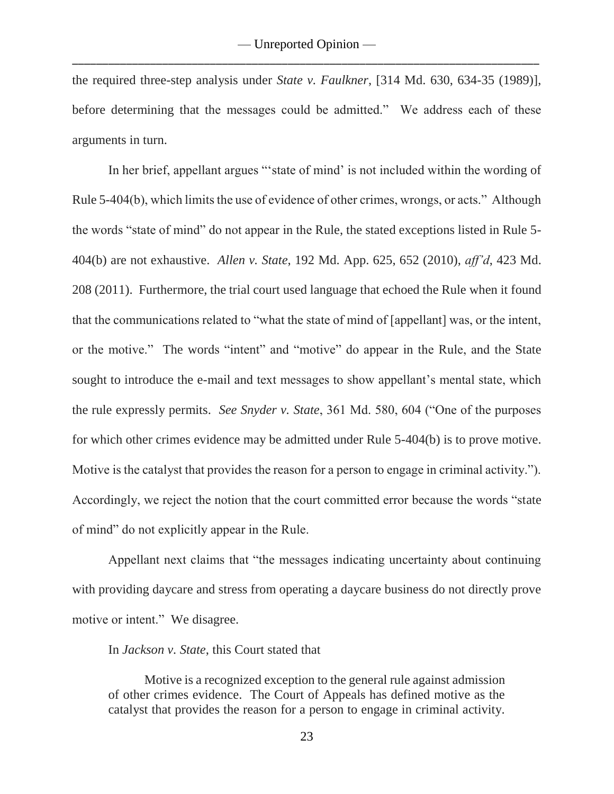the required three-step analysis under *State v. Faulkner*, [314 Md. 630, 634-35 (1989)], before determining that the messages could be admitted." We address each of these arguments in turn.

In her brief, appellant argues "'state of mind' is not included within the wording of Rule 5-404(b), which limits the use of evidence of other crimes, wrongs, or acts." Although the words "state of mind" do not appear in the Rule, the stated exceptions listed in Rule 5- 404(b) are not exhaustive. *Allen v. State*, 192 Md. App. 625, 652 (2010), *aff'd*, 423 Md. 208 (2011). Furthermore, the trial court used language that echoed the Rule when it found that the communications related to "what the state of mind of [appellant] was, or the intent, or the motive." The words "intent" and "motive" do appear in the Rule, and the State sought to introduce the e-mail and text messages to show appellant's mental state, which the rule expressly permits. *See Snyder v. State*, 361 Md. 580, 604 ("One of the purposes for which other crimes evidence may be admitted under Rule 5-404(b) is to prove motive. Motive is the catalyst that provides the reason for a person to engage in criminal activity."). Accordingly, we reject the notion that the court committed error because the words "state of mind" do not explicitly appear in the Rule.

Appellant next claims that "the messages indicating uncertainty about continuing with providing daycare and stress from operating a daycare business do not directly prove motive or intent." We disagree.

In *Jackson v. State*, this Court stated that

Motive is a recognized exception to the general rule against admission of other crimes evidence. The Court of Appeals has defined motive as the catalyst that provides the reason for a person to engage in criminal activity.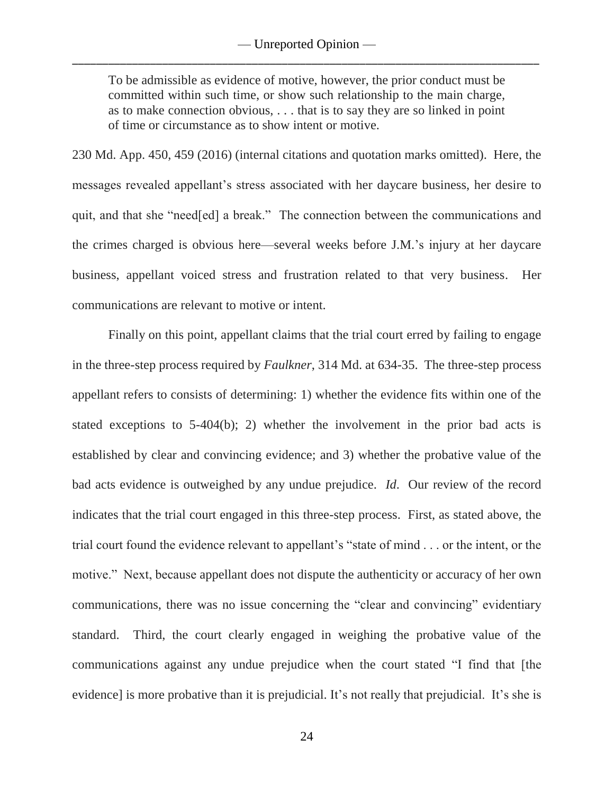To be admissible as evidence of motive, however, the prior conduct must be committed within such time, or show such relationship to the main charge, as to make connection obvious, . . . that is to say they are so linked in point of time or circumstance as to show intent or motive.

230 Md. App. 450, 459 (2016) (internal citations and quotation marks omitted). Here, the messages revealed appellant's stress associated with her daycare business, her desire to quit, and that she "need[ed] a break." The connection between the communications and the crimes charged is obvious here—several weeks before J.M.'s injury at her daycare business, appellant voiced stress and frustration related to that very business. Her communications are relevant to motive or intent.

Finally on this point, appellant claims that the trial court erred by failing to engage in the three-step process required by *Faulkner*, 314 Md. at 634-35. The three-step process appellant refers to consists of determining: 1) whether the evidence fits within one of the stated exceptions to 5-404(b); 2) whether the involvement in the prior bad acts is established by clear and convincing evidence; and 3) whether the probative value of the bad acts evidence is outweighed by any undue prejudice. *Id*. Our review of the record indicates that the trial court engaged in this three-step process. First, as stated above, the trial court found the evidence relevant to appellant's "state of mind . . . or the intent, or the motive." Next, because appellant does not dispute the authenticity or accuracy of her own communications, there was no issue concerning the "clear and convincing" evidentiary standard. Third, the court clearly engaged in weighing the probative value of the communications against any undue prejudice when the court stated "I find that [the evidence] is more probative than it is prejudicial. It's not really that prejudicial. It's she is